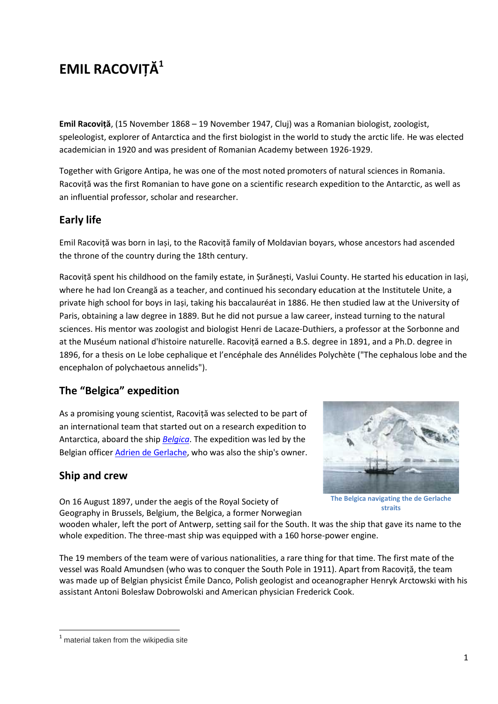# **EMIL RACOVIȚĂ<sup>1</sup>**

**Emil Racoviță**, (15 November 1868 – 19 November 1947, Cluj) was a Romanian biologist, zoologist, speleologist, explorer of Antarctica and the first biologist in the world to study the arctic life. He was elected academician in 1920 and was president of Romanian Academy between 1926-1929.

Together with Grigore Antipa, he was one of the most noted promoters of natural sciences in Romania. Racoviță was the first Romanian to have gone on a scientific research expedition to the Antarctic, as well as an influential professor, scholar and researcher.

# **Early life**

Emil Racoviță was born in Iași, to the Racoviță family of Moldavian boyars, whose ancestors had ascended the throne of the country during the 18th century.

Racoviță spent his childhood on the family estate, in Șurănești, Vaslui County. He started his education in Iași, where he had Ion Creangă as a teacher, and continued his secondary education at the Institutele Unite, a private high school for boys in Iași, taking his baccalauréat in 1886. He then studied law at the University of Paris, obtaining a law degree in 1889. But he did not pursue a law career, instead turning to the natural sciences. His mentor was zoologist and biologist Henri de Lacaze-Duthiers, a professor at the Sorbonne and at the Muséum national d'histoire naturelle. Racoviță earned a B.S. degree in 1891, and a Ph.D. degree in 1896, for a thesis on Le lobe cephalique et l'encéphale des Annélides Polychète ("The cephalous lobe and the encephalon of polychaetous annelids").

# **The "Belgica" expedition**

As a promising young scientist, Racoviță was selected to be part of an international team that started out on a research expedition to Antarctica, aboard the ship *Belgica*. The expedition was led by the Belgian officer **Adrien de Gerlache**, who was also the ship's owner.

# **Ship and crew**



On 16 August 1897, under the aegis of the Royal Society of Geography in Brussels, Belgium, the Belgica, a former Norwegian

**straits**

wooden whaler, left the port of Antwerp, setting sail for the South. It was the ship that gave its name to the whole expedition. The three-mast ship was equipped with a 160 horse-power engine.

The 19 members of the team were of various nationalities, a rare thing for that time. The first mate of the vessel was Roald Amundsen (who was to conquer the South Pole in 1911). Apart from Racoviță, the team was made up of Belgian physicist Émile Danco, Polish geologist and oceanographer Henryk Arctowski with his assistant Antoni Bolesław Dobrowolski and American physician Frederick Cook.

 $<sup>1</sup>$  material taken from the wikipedia site</sup>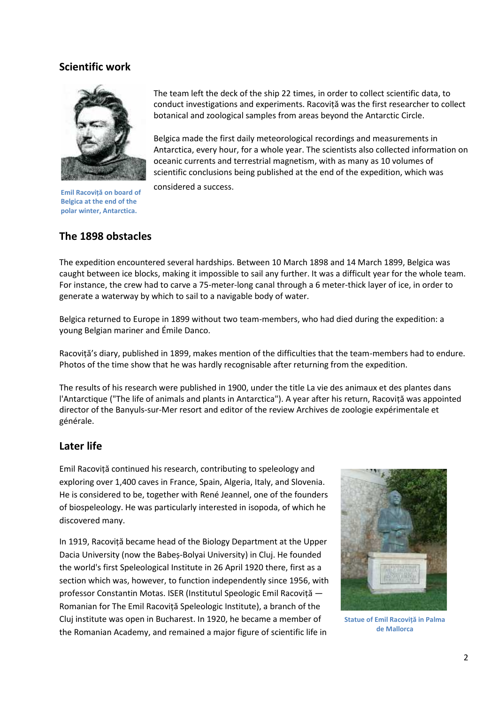#### **Scientific work**



**Emil Racoviță on board of Belgica at the end of the polar winter, Antarctica.**

The team left the deck of the ship 22 times, in order to collect scientific data, to conduct investigations and experiments. Racoviță was the first researcher to collect botanical and zoological samples from areas beyond the Antarctic Circle.

Belgica made the first daily meteorological recordings and measurements in Antarctica, every hour, for a whole year. The scientists also collected information on oceanic currents and terrestrial magnetism, with as many as 10 volumes of scientific conclusions being published at the end of the expedition, which was

considered a success.

## **The 1898 obstacles**

The expedition encountered several hardships. Between 10 March 1898 and 14 March 1899, Belgica was caught between ice blocks, making it impossible to sail any further. It was a difficult year for the whole team. For instance, the crew had to carve a 75-meter-long canal through a 6 meter-thick layer of ice, in order to generate a waterway by which to sail to a navigable body of water.

Belgica returned to Europe in 1899 without two team-members, who had died during the expedition: a young Belgian mariner and Émile Danco.

Racoviță's diary, published in 1899, makes mention of the difficulties that the team-members had to endure. Photos of the time show that he was hardly recognisable after returning from the expedition.

The results of his research were published in 1900, under the title La vie des animaux et des plantes dans l'Antarctique ("The life of animals and plants in Antarctica"). A year after his return, Racoviță was appointed director of the Banyuls-sur-Mer resort and editor of the review Archives de zoologie expérimentale et générale.

### **Later life**

Emil Racoviță continued his research, contributing to speleology and exploring over 1,400 caves in France, Spain, Algeria, Italy, and Slovenia. He is considered to be, together with René Jeannel, one of the founders of biospeleology. He was particularly interested in isopoda, of which he discovered many.

In 1919, Racoviță became head of the Biology Department at the Upper Dacia University (now the Babeș-Bolyai University) in Cluj. He founded the world's first Speleological Institute in 26 April 1920 there, first as a section which was, however, to function independently since 1956, with professor Constantin Motas. ISER (Institutul Speologic Emil Racoviță — Romanian for The Emil Racoviță Speleologic Institute), a branch of the Cluj institute was open in Bucharest. In 1920, he became a member of the Romanian Academy, and remained a major figure of scientific life in



**Statue of Emil Racoviță in Palma de Mallorca**